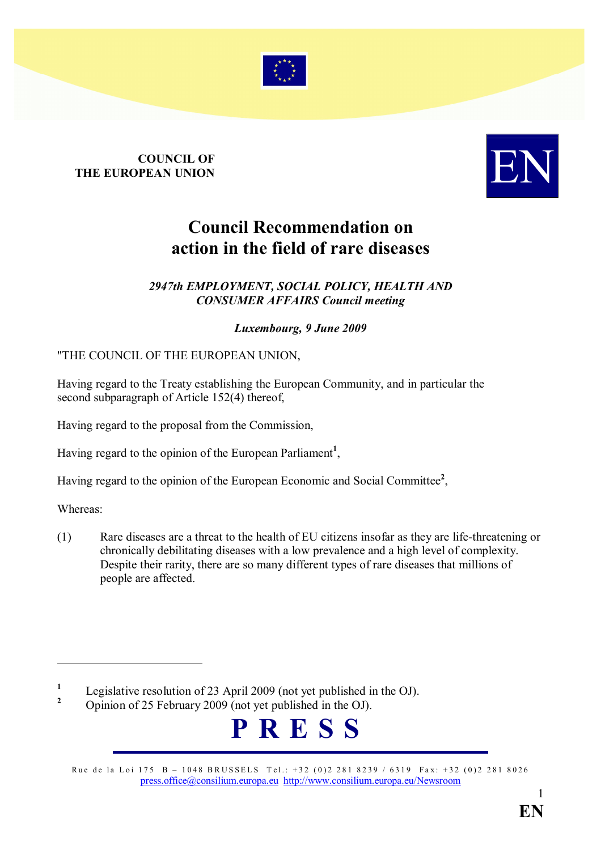

# **COUNCIL OF** COUNCIL OF THE EUROPEAN UNION



## Council Recommendation on action in the field of rare diseases

#### 2947th EMPLOYMENT, SOCIAL POLICY, HEALTH AND **CONSUMER AFFAIRS Council meeting**

#### Luxembourg, 9 June 2009

"THE COUNCIL OF THE EUROPEAN UNION,

Having regard to the Treaty establishing the European Community, and in particular the second subparagraph of Article 152(4) thereof,

Having regard to the proposal from the Commission,

Having regard to the opinion of the European Parliament<sup>1</sup>,

Having regard to the opinion of the European Economic and Social Committee<sup>2</sup>,

Whereas:

 $\overline{a}$ 

(1) Rare diseases are a threat to the health of EU citizens insofar as they are life-threatening or chronically debilitating diseases with a low prevalence and a high level of complexity. Despite their rarity, there are so many different types of rare diseases that millions of people are affected.

<sup>2</sup> Opinion of 25 February 2009 (not yet published in the OJ).



Rue de la Loi 175 B – 1048 BRUSSELS Tel.: +32 (0)2 281 8239 / 6319 Fax: +32 (0)2 281 8026 [press.office@consilium.europa.eu](mailto:press.office@consilium.eu.int) [http://www.consilium.europa.eu/Newsroom](http://ue.eu.int/Newsroom)

<sup>1</sup> Legislative resolution of 23 April 2009 (not yet published in the OJ).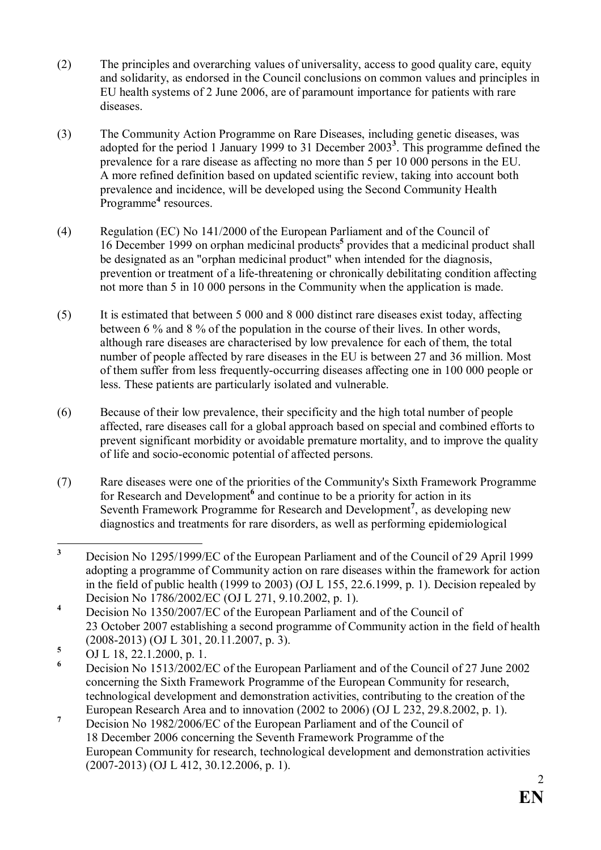- (2) The principles and overarching values of universality, access to good quality care, equity and solidarity, as endorsed in the Council conclusions on common values and principles in EU health systems of 2 June 2006, are of paramount importance for patients with rare diseases.
- (3) The Community Action Programme on Rare Diseases, including genetic diseases, was adopted for the period 1 January 1999 to 31 December  $2003<sup>3</sup>$ . This programme defined the prevalence for a rare disease as affecting no more than 5 per 10 000 persons in the EU. A more refined definition based on updated scientific review, taking into account both prevalence and incidence, will be developed using the Second Community Health Programme<sup>4</sup> resources.
- (4) Regulation (EC) No 141/2000 of the European Parliament and of the Council of 16 December 1999 on orphan medicinal products<sup>5</sup> provides that a medicinal product shall be designated as an "orphan medicinal product" when intended for the diagnosis, prevention or treatment of a life-threatening or chronically debilitating condition affecting not more than 5 in 10 000 persons in the Community when the application is made.
- (5) It is estimated that between 5 000 and 8 000 distinct rare diseases exist today, affecting between 6 % and 8 % of the population in the course of their lives. In other words, although rare diseases are characterised by low prevalence for each of them, the total number of people affected by rare diseases in the EU is between 27 and 36 million. Most of them suffer from less frequently-occurring diseases affecting one in 100 000 people or less. These patients are particularly isolated and vulnerable.
- (6) Because of their low prevalence, their specificity and the high total number of people affected, rare diseases call for a global approach based on special and combined efforts to prevent significant morbidity or avoidable premature mortality, and to improve the quality of life and socio-economic potential of affected persons.
- (7) Rare diseases were one of the priorities of the Community's Sixth Framework Programme for Research and Development<sup>6</sup> and continue to be a priority for action in its Seventh Framework Programme for Research and Development<sup>7</sup>, as developing new diagnostics and treatments for rare disorders, as well as performing epidemiological

 $\frac{1}{3}$  Decision No 1295/1999/EC of the European Parliament and of the Council of 29 April 1999 adopting a programme of Community action on rare diseases within the framework for action in the field of public health (1999 to 2003) (OJ L 155, 22.6.1999, p. 1). Decision repealed by Decision No 1786/2002/EC (OJ L 271, 9.10.2002, p. 1).

<sup>4</sup> Decision No 1350/2007/EC of the European Parliament and of the Council of 23 October 2007 establishing a second programme of Community action in the field of health (2008-2013) (OJ L 301, 20.11.2007, p. 3).

<sup>5</sup> OJ L 18, 22.1.2000, p. 1.

<sup>6</sup> Decision No 1513/2002/EC of the European Parliament and of the Council of 27 June 2002 concerning the Sixth Framework Programme of the European Community for research, technological development and demonstration activities, contributing to the creation of the European Research Area and to innovation (2002 to 2006) (OJ L 232, 29.8.2002, p. 1).

<sup>7</sup> Decision No 1982/2006/EC of the European Parliament and of the Council of 18 December 2006 concerning the Seventh Framework Programme of the European Community for research, technological development and demonstration activities (2007-2013) (OJ L 412, 30.12.2006, p. 1).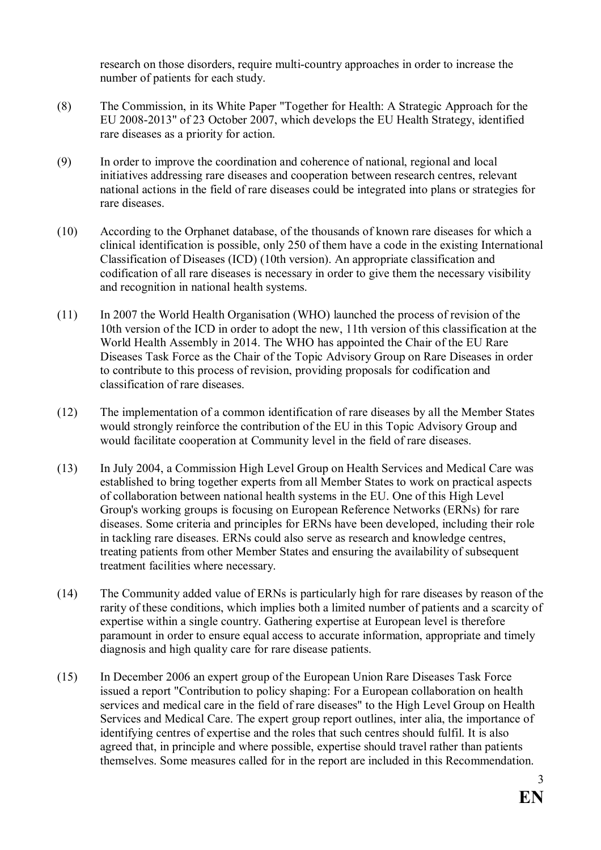research on those disorders, require multi-country approaches in order to increase the number of patients for each study.

- (8) The Commission, in its White Paper "Together for Health: A Strategic Approach for the EU 2008-2013" of 23 October 2007, which develops the EU Health Strategy, identified rare diseases as a priority for action.
- (9) In order to improve the coordination and coherence of national, regional and local initiatives addressing rare diseases and cooperation between research centres, relevant national actions in the field of rare diseases could be integrated into plans or strategies for rare diseases.
- (10) According to the Orphanet database, of the thousands of known rare diseases for which a clinical identification is possible, only 250 of them have a code in the existing International Classification of Diseases (ICD) (10th version). An appropriate classification and codification of all rare diseases is necessary in order to give them the necessary visibility and recognition in national health systems.
- (11) In 2007 the World Health Organisation (WHO) launched the process of revision of the 10th version of the ICD in order to adopt the new, 11th version of this classification at the World Health Assembly in 2014. The WHO has appointed the Chair of the EU Rare Diseases Task Force as the Chair of the Topic Advisory Group on Rare Diseases in order to contribute to this process of revision, providing proposals for codification and classification of rare diseases.
- (12) The implementation of a common identification of rare diseases by all the Member States would strongly reinforce the contribution of the EU in this Topic Advisory Group and would facilitate cooperation at Community level in the field of rare diseases.
- (13) In July 2004, a Commission High Level Group on Health Services and Medical Care was established to bring together experts from all Member States to work on practical aspects of collaboration between national health systems in the EU. One of this High Level Group's working groups is focusing on European Reference Networks (ERNs) for rare diseases. Some criteria and principles for ERNs have been developed, including their role in tackling rare diseases. ERNs could also serve as research and knowledge centres, treating patients from other Member States and ensuring the availability of subsequent treatment facilities where necessary.
- (14) The Community added value of ERNs is particularly high for rare diseases by reason of the rarity of these conditions, which implies both a limited number of patients and a scarcity of expertise within a single country. Gathering expertise at European level is therefore paramount in order to ensure equal access to accurate information, appropriate and timely diagnosis and high quality care for rare disease patients.
- (15) In December 2006 an expert group of the European Union Rare Diseases Task Force issued a report "Contribution to policy shaping: For a European collaboration on health services and medical care in the field of rare diseases" to the High Level Group on Health Services and Medical Care. The expert group report outlines, inter alia, the importance of identifying centres of expertise and the roles that such centres should fulfil. It is also agreed that, in principle and where possible, expertise should travel rather than patients themselves. Some measures called for in the report are included in this Recommendation.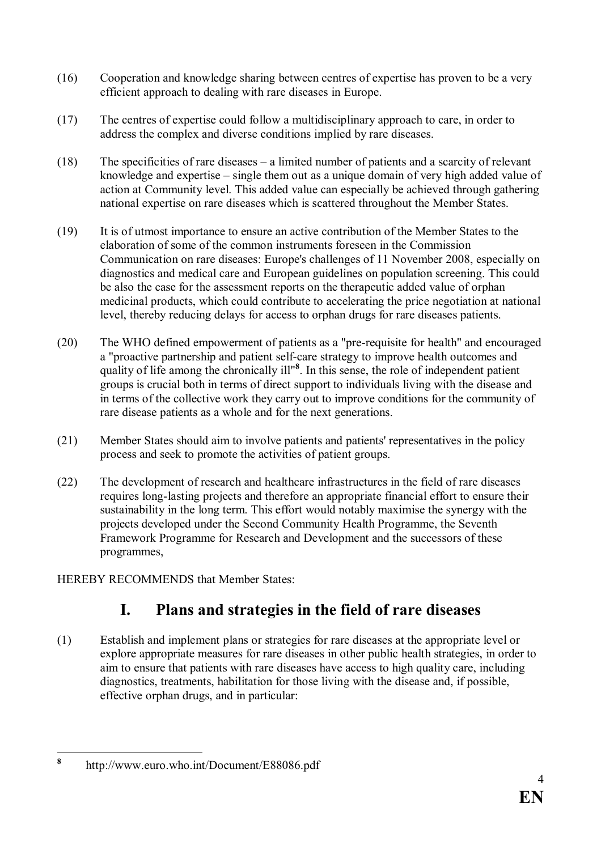- (16) Cooperation and knowledge sharing between centres of expertise has proven to be a very efficient approach to dealing with rare diseases in Europe.
- (17) The centres of expertise could follow a multidisciplinary approach to care, in order to address the complex and diverse conditions implied by rare diseases.
- (18) The specificities of rare diseases a limited number of patients and a scarcity of relevant knowledge and expertise – single them out as a unique domain of very high added value of action at Community level. This added value can especially be achieved through gathering national expertise on rare diseases which is scattered throughout the Member States.
- (19) It is of utmost importance to ensure an active contribution of the Member States to the elaboration of some of the common instruments foreseen in the Commission Communication on rare diseases: Europe's challenges of 11 November 2008, especially on diagnostics and medical care and European guidelines on population screening. This could be also the case for the assessment reports on the therapeutic added value of orphan medicinal products, which could contribute to accelerating the price negotiation at national level, thereby reducing delays for access to orphan drugs for rare diseases patients.
- (20) The WHO defined empowerment of patients as a "pre-requisite for health" and encouraged a "proactive partnership and patient self-care strategy to improve health outcomes and quality of life among the chronically ill"<sup>8</sup>. In this sense, the role of independent patient groups is crucial both in terms of direct support to individuals living with the disease and in terms of the collective work they carry out to improve conditions for the community of rare disease patients as a whole and for the next generations.
- (21) Member States should aim to involve patients and patients' representatives in the policy process and seek to promote the activities of patient groups.
- (22) The development of research and healthcare infrastructures in the field of rare diseases requires long-lasting projects and therefore an appropriate financial effort to ensure their sustainability in the long term. This effort would notably maximise the synergy with the projects developed under the Second Community Health Programme, the Seventh Framework Programme for Research and Development and the successors of these programmes,

HEREBY RECOMMENDS that Member States:

### I. Plans and strategies in the field of rare diseases

(1) Establish and implement plans or strategies for rare diseases at the appropriate level or explore appropriate measures for rare diseases in other public health strategies, in order to aim to ensure that patients with rare diseases have access to high quality care, including diagnostics, treatments, habilitation for those living with the disease and, if possible, effective orphan drugs, and in particular:

 8 http://www.euro.who.int/Document/E88086.pdf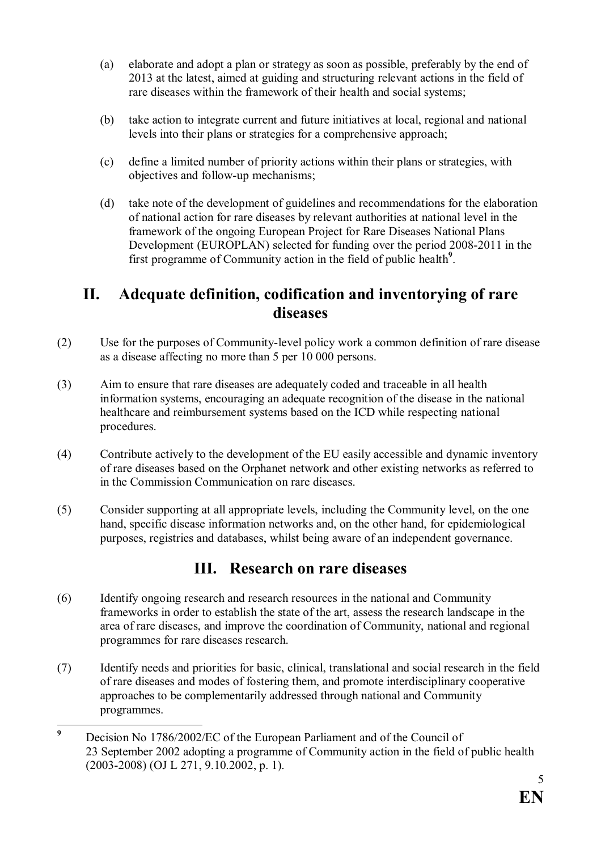- (a) elaborate and adopt a plan or strategy as soon as possible, preferably by the end of 2013 at the latest, aimed at guiding and structuring relevant actions in the field of rare diseases within the framework of their health and social systems;
- (b) take action to integrate current and future initiatives at local, regional and national levels into their plans or strategies for a comprehensive approach;
- (c) define a limited number of priority actions within their plans or strategies, with objectives and follow-up mechanisms;
- (d) take note of the development of guidelines and recommendations for the elaboration of national action for rare diseases by relevant authorities at national level in the framework of the ongoing European Project for Rare Diseases National Plans Development (EUROPLAN) selected for funding over the period 2008-2011 in the first programme of Community action in the field of public health<sup>9</sup>.

#### II. Adequate definition, codification and inventorying of rare diseases

- (2) Use for the purposes of Community-level policy work a common definition of rare disease as a disease affecting no more than 5 per 10 000 persons.
- (3) Aim to ensure that rare diseases are adequately coded and traceable in all health information systems, encouraging an adequate recognition of the disease in the national healthcare and reimbursement systems based on the ICD while respecting national procedures.
- (4) Contribute actively to the development of the EU easily accessible and dynamic inventory of rare diseases based on the Orphanet network and other existing networks as referred to in the Commission Communication on rare diseases.
- (5) Consider supporting at all appropriate levels, including the Community level, on the one hand, specific disease information networks and, on the other hand, for epidemiological purposes, registries and databases, whilst being aware of an independent governance.

#### III. Research on rare diseases

- (6) Identify ongoing research and research resources in the national and Community frameworks in order to establish the state of the art, assess the research landscape in the area of rare diseases, and improve the coordination of Community, national and regional programmes for rare diseases research.
- (7) Identify needs and priorities for basic, clinical, translational and social research in the field of rare diseases and modes of fostering them, and promote interdisciplinary cooperative approaches to be complementarily addressed through national and Community programmes.

 9 Decision No 1786/2002/EC of the European Parliament and of the Council of 23 September 2002 adopting a programme of Community action in the field of public health (2003-2008) (OJ L 271, 9.10.2002, p. 1).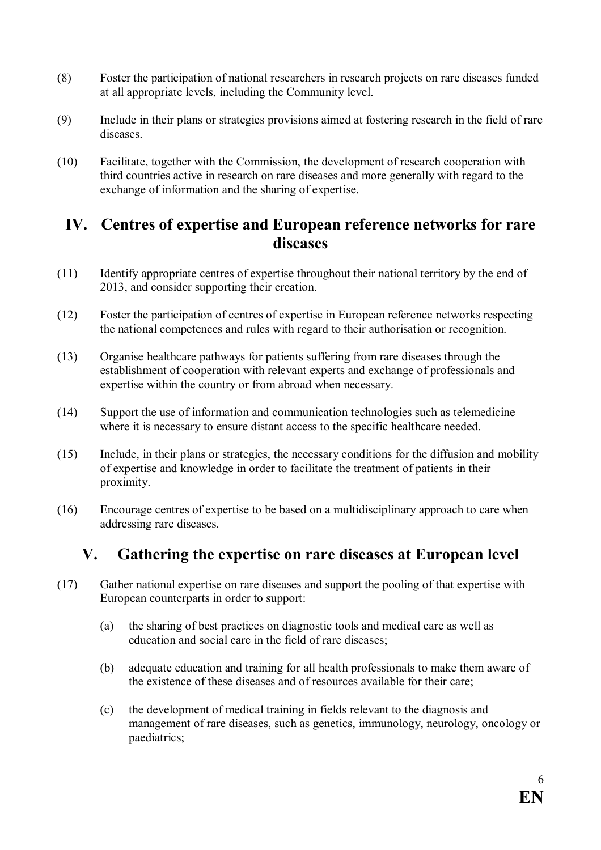- (8) Foster the participation of national researchers in research projects on rare diseases funded at all appropriate levels, including the Community level.
- (9) Include in their plans or strategies provisions aimed at fostering research in the field of rare diseases.
- (10) Facilitate, together with the Commission, the development of research cooperation with third countries active in research on rare diseases and more generally with regard to the exchange of information and the sharing of expertise.

#### IV. Centres of expertise and European reference networks for rare diseases

- (11) Identify appropriate centres of expertise throughout their national territory by the end of 2013, and consider supporting their creation.
- (12) Foster the participation of centres of expertise in European reference networks respecting the national competences and rules with regard to their authorisation or recognition.
- (13) Organise healthcare pathways for patients suffering from rare diseases through the establishment of cooperation with relevant experts and exchange of professionals and expertise within the country or from abroad when necessary.
- (14) Support the use of information and communication technologies such as telemedicine where it is necessary to ensure distant access to the specific healthcare needed.
- (15) Include, in their plans or strategies, the necessary conditions for the diffusion and mobility of expertise and knowledge in order to facilitate the treatment of patients in their proximity.
- (16) Encourage centres of expertise to be based on a multidisciplinary approach to care when addressing rare diseases.

#### V. Gathering the expertise on rare diseases at European level

- (17) Gather national expertise on rare diseases and support the pooling of that expertise with European counterparts in order to support:
	- (a) the sharing of best practices on diagnostic tools and medical care as well as education and social care in the field of rare diseases;
	- (b) adequate education and training for all health professionals to make them aware of the existence of these diseases and of resources available for their care;
	- (c) the development of medical training in fields relevant to the diagnosis and management of rare diseases, such as genetics, immunology, neurology, oncology or paediatrics;